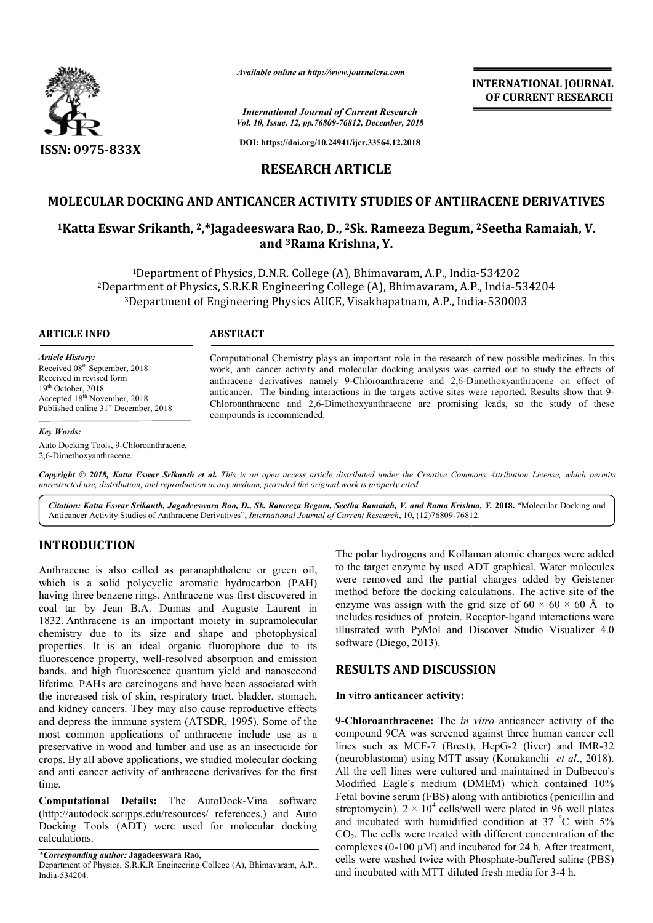

*Available online at http://www.journalcra.com*

*International Journal of Current Research Vol. 10, Issue, 12, pp.76809-76812, December, 2018*

**DOI: https://doi.org/10.24941/ijcr.33564.12.2018**

# **INTERNATIONAL JOURNAL OF CURRENT RESEARCH**

**RESEARCH ARTICLE**

# **MOLECULAR DOCKING AND ANTICANCER ACTIVITY STUDIES OF ANTHRACENE DERIVATIVES**

# IOLECULAR DOCKING AND ANTICANCER ACTIVITY STUDIES OF ANTHRACENE DERIVATIVES<br><sup>1</sup>Katta Eswar Srikanth, <sup>2</sup>,\*Jagadeeswara Rao, D., <sup>2</sup>Sk. Rameeza Begum, <sup>2</sup>Seetha Ramaiah, V. **and 3Rama Krishna, Y.**

<sup>1</sup>Department of Physics, D.N.R. College (A), Bhimavaram, A.P., India-534202 <sup>2</sup>Department of Physics, S.R.K.R Engineering College (A), Bhimavaram, A.P., India-534204<br><sup>3</sup>Department of Engineering Physics AUCE, Visakhapatnam, A.P., India-530003 <sup>3</sup>Department of Engineering Physics AUCE, Visakhapatnam, A.P., India-530003

## **ARTICLE INFO ABSTRACT**

*Article History:* Received 08<sup>th</sup> September, 2018 Received in revised form 19th October, 2018 Accepted 18<sup>th</sup> November, 2018 Published online 31<sup>st</sup> December, 2018

#### *Key Words:*

Auto Docking Tools, 9-Chloroanthracene, 2,6-Dimethoxyanthracene.

Computational Chemistry plays an important role in the research of new possible medicines. In this work, anti cancer activity and molecular docking analysis was carried out to study the effects of anthracene derivatives namely 9-Chloroanthracene and 2,6-Di anticancer. The binding interactions in the targets active sites were reported. Results show that 9-Chloroanthracene and 2,6-Dimethoxyanthracene are promising leads, so the study of these compounds is recommended. Computational Chemistry plays an important role in the research of new possible medicines. In this work, anti cancer activity and molecular docking analysis was carried out to study the effects of anthracene derivatives na

**Copyright © 2018, Katta Eswar Srikanth et al.** This is an open access article distributed under the Creative Commons Attribution License, which permits *unrestricted use, distribution, and reproduction in any medium, provided the original work is properly cited.*

*Citation: Katta Eswar Srikanth, Jagadeeswara Rao, D., Sk. Rameeza Begum, Seetha R Ramaiah, V. and Rama Krishna, Y. amaiah,*  **2018.** "Molecular Docking and Anticancer Activity Studies of Anthracene Derivatives Derivatives", *International Journal of Current Research*, 10, (12)76809-76812 76812.

# **INTRODUCTION**

Anthracene is also called as paranaphthalene or green oil, which is a solid polycyclic aromatic hydrocarbon (PAH) having three benzene rings. Anthracene was first discovered in coal tar by Jean B.A. Dumas and Auguste Laurent in 1832. Anthracene is an important moiety in supramolecular chemistry due to its size and shape and photophysical properties. It is an ideal organic fluorophore due to its fluorescence property, well-resolved absorption and emission 1832. Anthracene is an important moiety in supramolecular chemistry due to its size and shape and photophysical properties. It is an ideal organic fluorophore due to its fluorescence property, well-resolved absorption and lifetime. PAHs are carcinogens and have been associated with the increased risk of skin, respiratory tract, bladder, stomach, and kidney cancers. They may also cause reproductive effects and depress the immune system (ATSDR, 1995). Some of the most common applications of anthracene include use as a preservative in wood and lumber and use as an insecticide for crops. By all above applications, we studied molecular docking and anti cancer activity of anthracene derivatives for the fi first time.

**Computational Details:** The AutoDock AutoDock-Vina software (http://autodock.scripps.edu/resources/ references.) and Auto Docking Tools (ADT) were used for molecular docking calculations.

*\*Corresponding author:* **Jagadeeswara Rao,**

Department of Physics, S.R.K.R Engineering College (A), Bhimavaram, A.P., India-534204.

The polar hydrogens and Kollaman atomic charges were added to the target enzyme by used ADT graphical. Water molecules were removed and the partial charges added by method before the docking calculations. The active site of the enzyme was assign with the grid size of  $60 \times 60 \times 60$  Å to includes residues of protein. Receptor-ligand interactions were illustrated with PyMol and Discover Studio Visualizer 4.0 software (Diego, 2013). he polar hydrogens and Kollaman atomic charges were added<br>the target enzyme by used ADT graphical. Water molecules<br>re removed and the partial charges added by Geistener method before the docking calculations. The active site of the enzyme was assign with the grid size of  $60 \times 60 \times 60$  Å to includes residues of protein. Receptor-ligand interactions were

# **RESULTS AND DISCUSSION**

# **In vitro anticancer activity:**

**9-Chloroanthracene:** The *in vitro* anticancer activity of the compound 9CA was screened against three human cancer cell compound 9CA was screened against three human cancer cell<br>lines such as MCF-7 (Brest), HepG-2 (liver) and IMR-32 (neuroblastoma) using MTT assay MTT (Konakanchi *et al*., 2018). All the cell lines were cultured and maintained in Dulbecco's Modified Eagle's medium (DMEM) which contained 10% Fetal bovine serum (FBS) along with antibiotics (penicillin and streptomycin).  $2 \times 10^4$  cells/well were plated in 96 well plates Modified Eagle's medium (DMEM) which contained 10% Fetal bovine serum (FBS) along with antibiotics (penicillin and streptomycin).  $2 \times 10^4$  cells/well were plated in 96 well plates and incubated with humidified condition CO<sub>2</sub>. The cells were treated with different concentration of the complexes (0-100  $\mu$ M) and incubated for 24 h. After treatment, CO<sub>2</sub>. The cells were treated with different concentration of the complexes (0-100  $\mu$ M) and incubated for 24 h. After treatment, cells were washed twice with Phosphate-buffered saline (PBS) and incubated with MTT diluted fresh media for 3-4 h.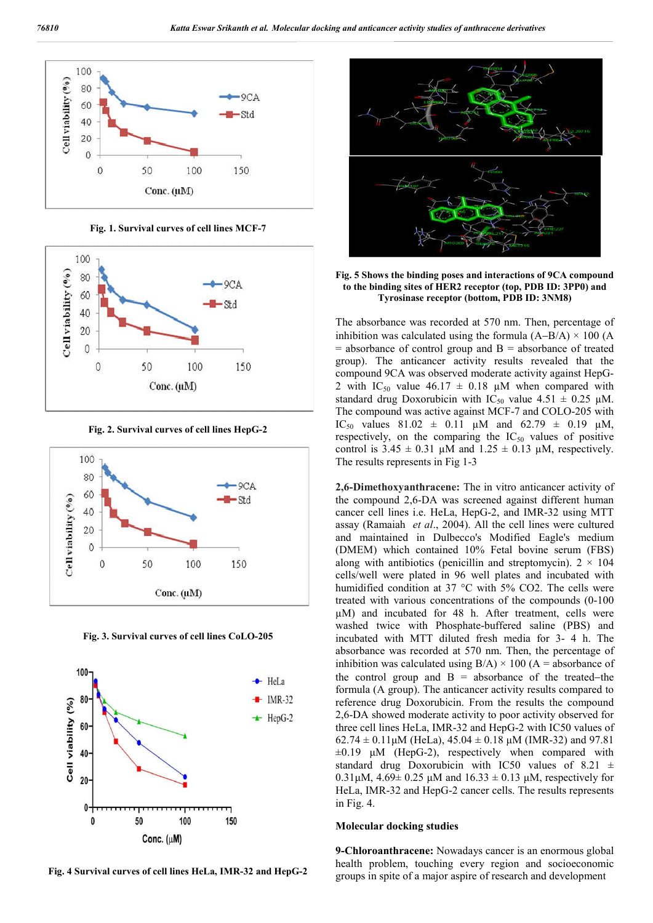

**Fig. 1. Survival curves of cell lines MCF-7**







**Fig. 3. Survival curves of cell lines CoLO-205**



**Fig. 4 Survival curves of cell lines HeLa, IMR-32 and HepG-2**



**Fig. 5 Shows the binding poses and interactions of 9CA compound to the binding sites of HER2 receptor (top, PDB ID: 3PP0) and Tyrosinase receptor (bottom, PDB ID: 3NM8)**

The absorbance was recorded at 570 nm. Then, percentage of inhibition was calculated using the formula  $(A-B/A) \times 100$  (A  $=$  absorbance of control group and  $B =$  absorbance of treated group). The anticancer activity results revealed that the compound 9CA was observed moderate activity against HepG-2 with IC<sub>50</sub> value 46.17  $\pm$  0.18  $\mu$ M when compared with standard drug Doxorubicin with IC<sub>50</sub> value 4.51  $\pm$  0.25  $\mu$ M. The compound was active against MCF-7 and COLO-205 with IC<sub>50</sub> values 81.02  $\pm$  0.11 µM and 62.79  $\pm$  0.19 µM, respectively, on the comparing the  $IC_{50}$  values of positive control is  $3.45 \pm 0.31 \mu M$  and  $1.25 \pm 0.13 \mu M$ , respectively. The results represents in Fig 1-3

**2,6-Dimethoxyanthracene:** The in vitro anticancer activity of the compound 2,6-DA was screened against different human cancer cell lines i.e. HeLa, HepG-2, and IMR-32 using MTT assay (Ramaiah *et al*., 2004). All the cell lines were cultured and maintained in Dulbecco's Modified Eagle's medium (DMEM) which contained 10% Fetal bovine serum (FBS) along with antibiotics (penicillin and streptomycin).  $2 \times 104$ cells/well were plated in 96 well plates and incubated with humidified condition at 37 °C with 5% CO2. The cells were treated with various concentrations of the compounds (0-100 µM) and incubated for 48 h. After treatment, cells were washed twice with Phosphate-buffered saline (PBS) and incubated with MTT diluted fresh media for 3- 4 h. The absorbance was recorded at 570 nm. Then, the percentage of inhibition was calculated using  $B/A$ ) × 100 (A = absorbance of the control group and  $B =$  absorbance of the treated-the formula (A group). The anticancer activity results compared to reference drug Doxorubicin. From the results the compound 2,6-DA showed moderate activity to poor activity observed for three cell lines HeLa, IMR-32 and HepG-2 with IC50 values of  $62.74 \pm 0.11 \mu M$  (HeLa),  $45.04 \pm 0.18 \mu M$  (IMR-32) and 97.81  $\pm 0.19$  μM (HepG-2), respectively when compared with standard drug Doxorubicin with IC50 values of 8.21  $\pm$ 0.31 $\mu$ M, 4.69 $\pm$  0.25  $\mu$ M and 16.33  $\pm$  0.13  $\mu$ M, respectively for HeLa, IMR-32 and HepG-2 cancer cells. The results represents in Fig. 4.

# **Molecular docking studies**

**9-Chloroanthracene:** Nowadays cancer is an enormous global health problem, touching every region and socioeconomic groups in spite of a major aspire of research and development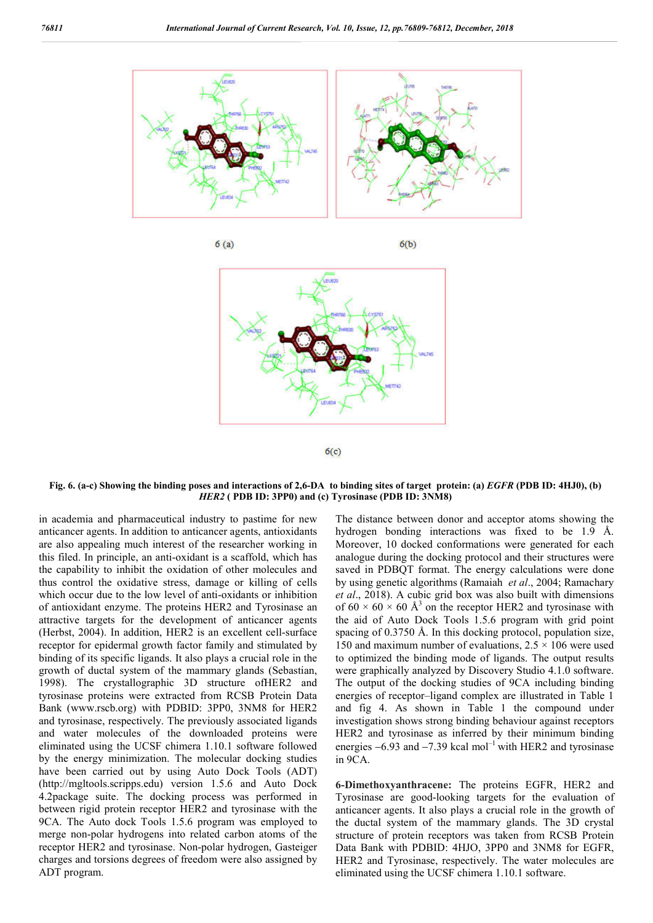



 $6(b)$ 



## **Fig. 6. (a-c) Showing the binding poses and interactions of 2,6-DA to binding sites of target protein: (a)** *EGFR* **(PDB ID: 4HJ0), (b)**  *HER2* **( PDB ID: 3PP0) and (c) Tyrosinase (PDB ID: 3NM8)**

 $6(c)$ 

in academia and pharmaceutical industry to pastime for new anticancer agents. In addition to anticancer agents, antioxidants are also appealing much interest of the researcher working in this filed. In principle, an anti-oxidant is a scaffold, which has the capability to inhibit the oxidation of other molecules and thus control the oxidative stress, damage or killing of cells which occur due to the low level of anti-oxidants or inhibition of antioxidant enzyme. The proteins HER2 and Tyrosinase an attractive targets for the development of anticancer agents (Herbst, 2004). In addition, HER2 is an excellent cell-surface receptor for epidermal growth factor family and stimulated by binding of its specific ligands. It also plays a crucial role in the growth of ductal system of the mammary glands (Sebastian, 1998). The crystallographic 3D structure ofHER2 and tyrosinase proteins were extracted from RCSB Protein Data Bank (www.rscb.org) with PDBID: 3PP0, 3NM8 for HER2 and tyrosinase, respectively. The previously associated ligands and water molecules of the downloaded proteins were eliminated using the UCSF chimera 1.10.1 software followed by the energy minimization. The molecular docking studies have been carried out by using Auto Dock Tools (ADT) (http://mgltools.scripps.edu) version 1.5.6 and Auto Dock 4.2package suite. The docking process was performed in between rigid protein receptor HER2 and tyrosinase with the 9CA. The Auto dock Tools 1.5.6 program was employed to merge non-polar hydrogens into related carbon atoms of the receptor HER2 and tyrosinase. Non-polar hydrogen, Gasteiger charges and torsions degrees of freedom were also assigned by ADT program.

The distance between donor and acceptor atoms showing the hydrogen bonding interactions was fixed to be 1.9 Å. Moreover, 10 docked conformations were generated for each analogue during the docking protocol and their structures were saved in PDBQT format. The energy calculations were done by using genetic algorithms (Ramaiah *et al*., 2004; Ramachary *et al*., 2018). A cubic grid box was also built with dimensions of  $60 \times 60 \times 60$  Å<sup>3</sup> on the receptor HER2 and tyrosinase with the aid of Auto Dock Tools 1.5.6 program with grid point spacing of 0.3750 Å. In this docking protocol, population size, 150 and maximum number of evaluations,  $2.5 \times 106$  were used to optimized the binding mode of ligands. The output results were graphically analyzed by Discovery Studio 4.1.0 software. The output of the docking studies of 9CA including binding energies of receptor–ligand complex are illustrated in Table 1 and fig 4. As shown in Table 1 the compound under investigation shows strong binding behaviour against receptors HER2 and tyrosinase as inferred by their minimum binding energies  $-6.93$  and  $-7.39$  kcal mol<sup>-1</sup> with HER2 and tyrosinase in 9CA.

**6-Dimethoxyanthracene:** The proteins EGFR, HER2 and Tyrosinase are good-looking targets for the evaluation of anticancer agents. It also plays a crucial role in the growth of the ductal system of the mammary glands. The 3D crystal structure of protein receptors was taken from RCSB Protein Data Bank with PDBID: 4HJO, 3PP0 and 3NM8 for EGFR, HER2 and Tyrosinase, respectively. The water molecules are eliminated using the UCSF chimera 1.10.1 software.